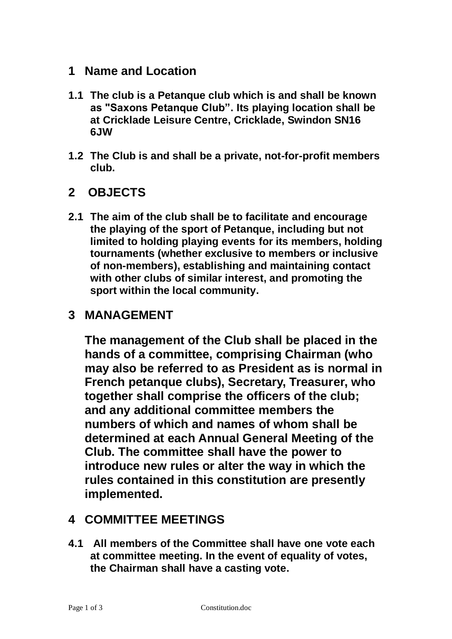#### **1 Name and Location**

- **1.1 The club is a Petanque club which is and shall be known as "Saxons Petanque Club". Its playing location shall be at Cricklade Leisure Centre, Cricklade, Swindon SN16 6JW**
- **1.2 The Club is and shall be a private, not-for-profit members club.**

# **2 OBJECTS**

**2.1 The aim of the club shall be to facilitate and encourage the playing of the sport of Petanque, including but not limited to holding playing events for its members, holding tournaments (whether exclusive to members or inclusive of non-members), establishing and maintaining contact with other clubs of similar interest, and promoting the sport within the local community.**

## **3 MANAGEMENT**

**The management of the Club shall be placed in the hands of a committee, comprising Chairman (who may also be referred to as President as is normal in French petanque clubs), Secretary, Treasurer, who together shall comprise the officers of the club; and any additional committee members the numbers of which and names of whom shall be determined at each Annual General Meeting of the Club. The committee shall have the power to introduce new rules or alter the way in which the rules contained in this constitution are presently implemented.**

### **4 COMMITTEE MEETINGS**

**4.1 All members of the Committee shall have one vote each at committee meeting. In the event of equality of votes, the Chairman shall have a casting vote.**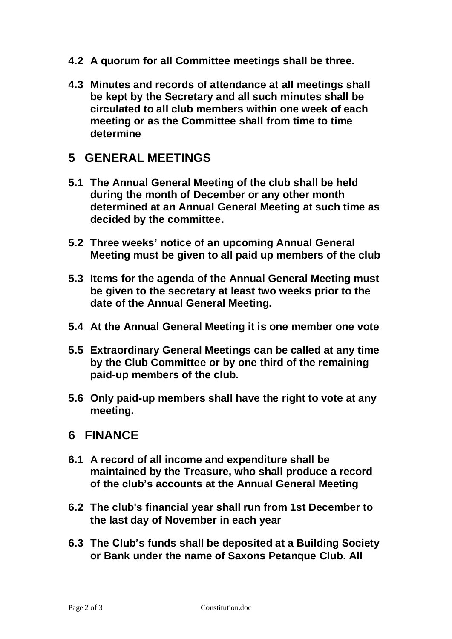- **4.2 A quorum for all Committee meetings shall be three.**
- **4.3 Minutes and records of attendance at all meetings shall be kept by the Secretary and all such minutes shall be circulated to all club members within one week of each meeting or as the Committee shall from time to time determine**

#### **5 GENERAL MEETINGS**

- **5.1 The Annual General Meeting of the club shall be held during the month of December or any other month determined at an Annual General Meeting at such time as decided by the committee.**
- **5.2 Three weeks' notice of an upcoming Annual General Meeting must be given to all paid up members of the club**
- **5.3 Items for the agenda of the Annual General Meeting must be given to the secretary at least two weeks prior to the date of the Annual General Meeting.**
- **5.4 At the Annual General Meeting it is one member one vote**
- **5.5 Extraordinary General Meetings can be called at any time by the Club Committee or by one third of the remaining paid-up members of the club.**
- **5.6 Only paid-up members shall have the right to vote at any meeting.**

#### **6 FINANCE**

- **6.1 A record of all income and expenditure shall be maintained by the Treasure, who shall produce a record of the club's accounts at the Annual General Meeting**
- **6.2 The club's financial year shall run from 1st December to the last day of November in each year**
- **6.3 The Club's funds shall be deposited at a Building Society or Bank under the name of Saxons Petanque Club. All**